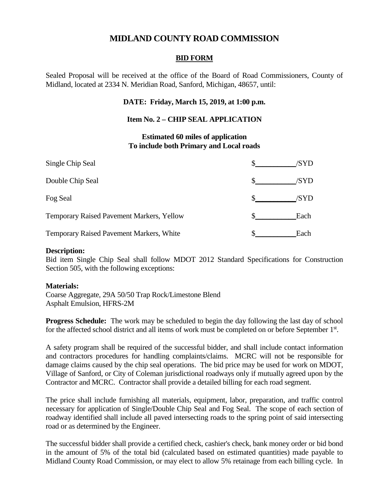# **MIDLAND COUNTY ROAD COMMISSION**

## **BID FORM**

Sealed Proposal will be received at the office of the Board of Road Commissioners, County of Midland, located at 2334 N. Meridian Road, Sanford, Michigan, 48657, until:

## **DATE: Friday, March 15, 2019, at 1:00 p.m.**

## **Item No. 2 – CHIP SEAL APPLICATION**

#### **Estimated 60 miles of application To include both Primary and Local roads**

| Single Chip Seal                                 | /SYD |
|--------------------------------------------------|------|
| Double Chip Seal                                 | /SYD |
| Fog Seal                                         | /SYD |
| <b>Temporary Raised Pavement Markers, Yellow</b> | Each |
| Temporary Raised Pavement Markers, White         | Each |

#### **Description:**

Bid item Single Chip Seal shall follow MDOT 2012 Standard Specifications for Construction Section 505, with the following exceptions:

#### **Materials:**

Coarse Aggregate, 29A 50/50 Trap Rock/Limestone Blend Asphalt Emulsion, HFRS-2M

**Progress Schedule:** The work may be scheduled to begin the day following the last day of school for the affected school district and all items of work must be completed on or before September 1<sup>st</sup>.

A safety program shall be required of the successful bidder, and shall include contact information and contractors procedures for handling complaints/claims. MCRC will not be responsible for damage claims caused by the chip seal operations. The bid price may be used for work on MDOT, Village of Sanford, or City of Coleman jurisdictional roadways only if mutually agreed upon by the Contractor and MCRC. Contractor shall provide a detailed billing for each road segment.

The price shall include furnishing all materials, equipment, labor, preparation, and traffic control necessary for application of Single/Double Chip Seal and Fog Seal. The scope of each section of roadway identified shall include all paved intersecting roads to the spring point of said intersecting road or as determined by the Engineer.

The successful bidder shall provide a certified check, cashier's check, bank money order or bid bond in the amount of 5% of the total bid (calculated based on estimated quantities) made payable to Midland County Road Commission, or may elect to allow 5% retainage from each billing cycle. In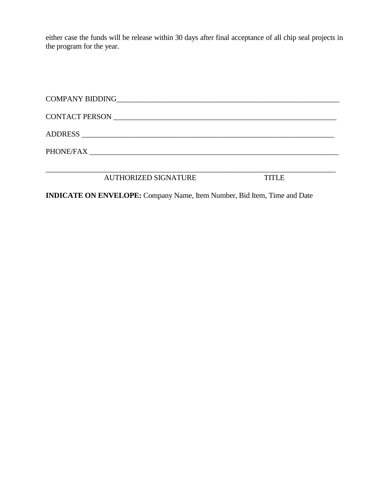either case the funds will be release within 30 days after final acceptance of all chip seal projects in the program for the year.

| <b>TITLE</b> |
|--------------|
|              |

**INDICATE ON ENVELOPE:** Company Name, Item Number, Bid Item, Time and Date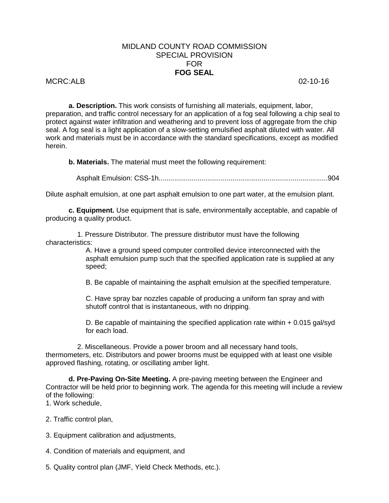## MIDLAND COUNTY ROAD COMMISSION SPECIAL PROVISION FOR **FOG SEAL**

#### MCRC:ALB 02-10-16

**a. Description.** This work consists of furnishing all materials, equipment, labor, preparation, and traffic control necessary for an application of a fog seal following a chip seal to protect against water infiltration and weathering and to prevent loss of aggregate from the chip seal. A fog seal is a light application of a slow-setting emulsified asphalt diluted with water. All work and materials must be in accordance with the standard specifications, except as modified herein.

**b. Materials.** The material must meet the following requirement:

Asphalt Emulsion: CSS-1h.......................................................................................904

Dilute asphalt emulsion, at one part asphalt emulsion to one part water, at the emulsion plant.

**c. Equipment.** Use equipment that is safe, environmentally acceptable, and capable of producing a quality product.

1. Pressure Distributor. The pressure distributor must have the following characteristics:

> A. Have a ground speed computer controlled device interconnected with the asphalt emulsion pump such that the specified application rate is supplied at any speed;

B. Be capable of maintaining the asphalt emulsion at the specified temperature.

C. Have spray bar nozzles capable of producing a uniform fan spray and with shutoff control that is instantaneous, with no dripping.

D. Be capable of maintaining the specified application rate within + 0.015 gal/syd for each load.

2. Miscellaneous. Provide a power broom and all necessary hand tools, thermometers, etc. Distributors and power brooms must be equipped with at least one visible approved flashing, rotating, or oscillating amber light.

**d. Pre-Paving On-Site Meeting.** A pre-paving meeting between the Engineer and Contractor will be held prior to beginning work. The agenda for this meeting will include a review of the following:

1. Work schedule,

2. Traffic control plan,

- 3. Equipment calibration and adjustments,
- 4. Condition of materials and equipment, and
- 5. Quality control plan (JMF, Yield Check Methods, etc.).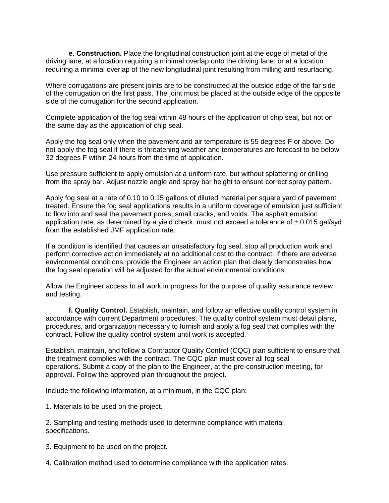**e. Construction.** Place the longitudinal construction joint at the edge of metal of the driving lane; at a location requiring a minimal overlap onto the driving lane; or at a location requiring a minimal overlap of the new longitudinal joint resulting from milling and resurfacing.

Where corrugations are present joints are to be constructed at the outside edge of the far side of the corrugation on the first pass. The joint must be placed at the outside edge of the opposite side of the corrugation for the second application.

Complete application of the fog seal within 48 hours of the application of chip seal, but not on the same day as the application of chip seal.

Apply the fog seal only when the pavement and air temperature is 55 degrees F or above. Do not apply the fog seal if there is threatening weather and temperatures are forecast to be below 32 degrees F within 24 hours from the time of application.

Use pressure sufficient to apply emulsion at a uniform rate, but without splattering or drilling from the spray bar. Adjust nozzle angle and spray bar height to ensure correct spray pattern.

Apply fog seal at a rate of 0.10 to 0.15 gallons of diluted material per square yard of pavement treated. Ensure the fog seal applications results in a uniform coverage of emulsion just sufficient to flow into and seal the pavement pores, small cracks, and voids. The asphalt emulsion application rate, as determined by a yield check, must not exceed a tolerance of  $\pm$  0.015 gal/syd from the established JMF application rate.

If a condition is identified that causes an unsatisfactory fog seal, stop all production work and perform corrective action immediately at no additional cost to the contract. If there are adverse environmental conditions, provide the Engineer an action plan that clearly demonstrates how the fog seal operation will be adjusted for the actual environmental conditions.

Allow the Engineer access to all work in progress for the purpose of quality assurance review and testing.

**f. Quality Control.** Establish, maintain, and follow an effective quality control system in accordance with current Department procedures. The quality control system must detail plans, procedures, and organization necessary to furnish and apply a fog seal that complies with the contract. Follow the quality control system until work is accepted.

Establish, maintain, and follow a Contractor Quality Control (CQC) plan sufficient to ensure that the treatment complies with the contract. The CQC plan must cover all fog seal operations. Submit a copy of the plan to the Engineer, at the pre-construction meeting, for approval. Follow the approved plan throughout the project.

Include the following information, at a minimum, in the CQC plan:

1. Materials to be used on the project.

2. Sampling and testing methods used to determine compliance with material specifications.

3. Equipment to be used on the project.

4. Calibration method used to determine compliance with the application rates.